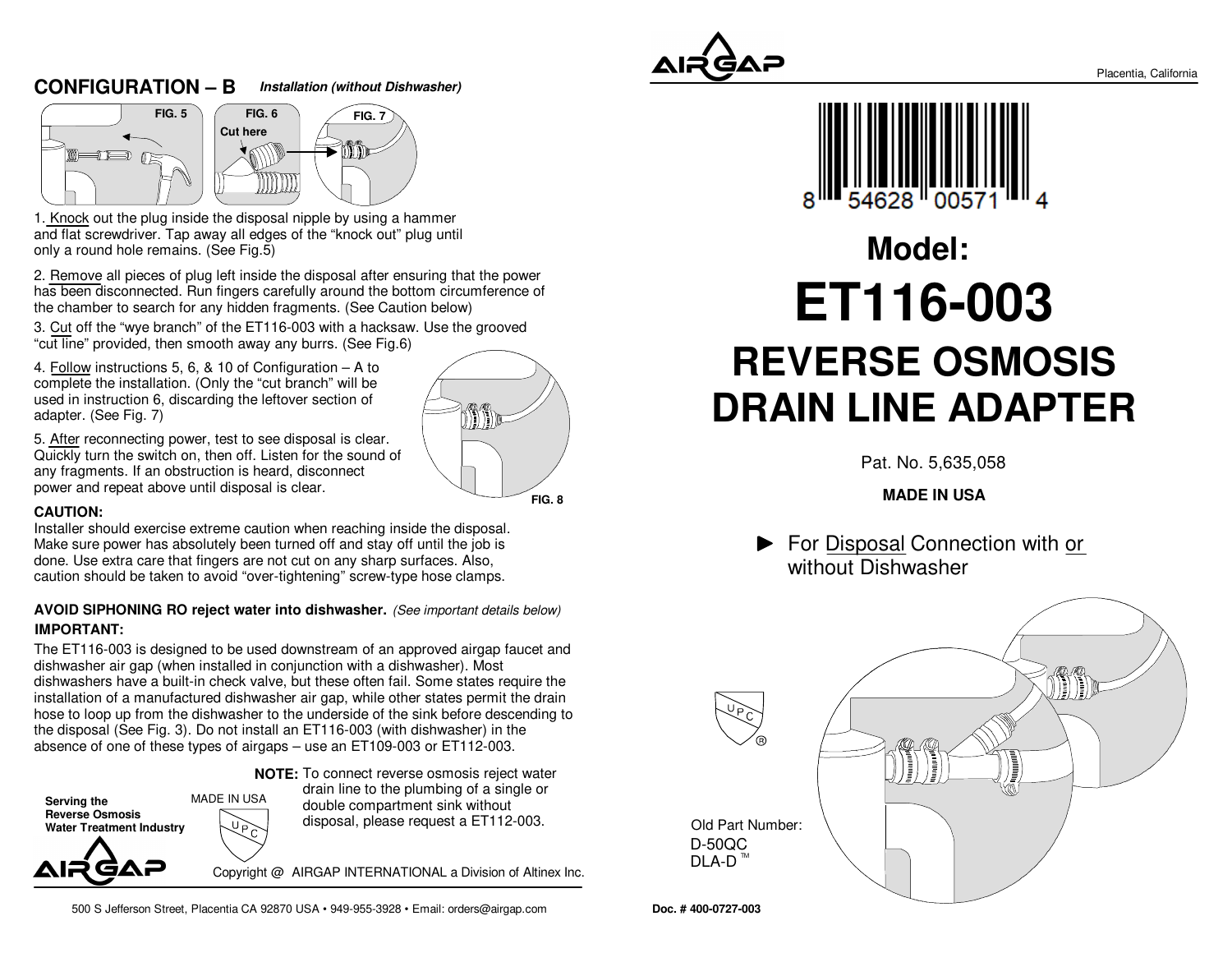#### **CONFIGURATION – BInstallation (without Dishwasher)**





1. Knock out the plug inside the disposal nipple by using a hammer and flat screwdriver. Tap away all edges of the "knock out" plug untilonly a round hole remains. (See Fig.5)

2. Remove all pieces of plug left inside the disposal after ensuring that the power has been disconnected. Run fingers carefully around the bottom circumference ofthe chamber to search for any hidden fragments. (See Caution below)

3. Cut off the "wye branch" of the ET116-003 with a hacksaw. Use the grooved"cut line" provided, then smooth away any burrs. (See Fig.6)

4. Follow instructions 5, 6, & 10 of Configuration – A to complete the installation. (Only the "cut branch" will be used in instruction 6, discarding the leftover section ofadapter. (See Fig. 7)



5. After reconnecting power, test to see disposal is clear. Quickly turn the switch on, then off. Listen for the sound ofany fragments. If an obstruction is heard, disconnectpower and repeat above until disposal is clear.

#### **CAUTION:**

Installer should exercise extreme caution when reaching inside the disposal. Make sure power has absolutely been turned off and stay off until the job isdone. Use extra care that fingers are not cut on any sharp surfaces. Also,caution should be taken to avoid "over-tightening" screw-type hose clamps.

#### **IMPORTANT: AVOID SIPHONING RO reject water into dishwasher.** (See important details below)

The ET116-003 is designed to be used downstream of an approved airgap faucet anddishwasher air gap (when installed in conjunction with a dishwasher). Most dishwashers have a built-in check valve, but these often fail. Some states require the installation of a manufactured dishwasher air gap, while other states permit the drain hose to loop up from the dishwasher to the underside of the sink before descending tothe disposal (See Fig. 3). Do not install an ET116-003 (with dishwasher) in theabsence of one of these types of airgaps – use an ET109-003 or ET112-003.

**NOTE:** To connect reverse osmosis reject water



drain line to the plumbing of a single ordouble compartment sink withoutdisposal, please request a ET112-003.

Copyright @ AIRGAP INTERNATIONAL a Division of Altinex Inc.

500 S Jefferson Street, Placentia CA 92870 USA • 949-955-3928 • Email: orders@airgap.com





## **REVERSE OSMOSIS DRAIN LINE ADAPTERModel:ET116-003**

Pat. No. 5,635,058

#### **MADE IN USA**

**For Disposal Connection with or** without Dishwasher



**Doc. # 400-0727-003**